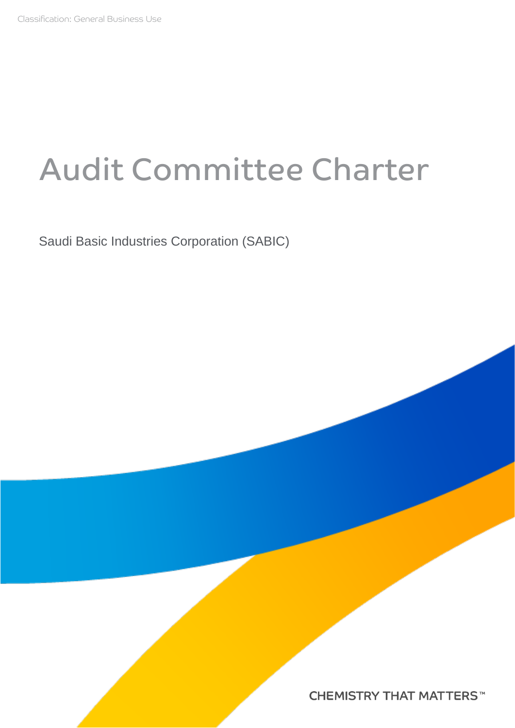# Audit Committee Charter

Saudi Basic Industries Corporation (SABIC)

**CHEMISTRY THAT MATTERS™**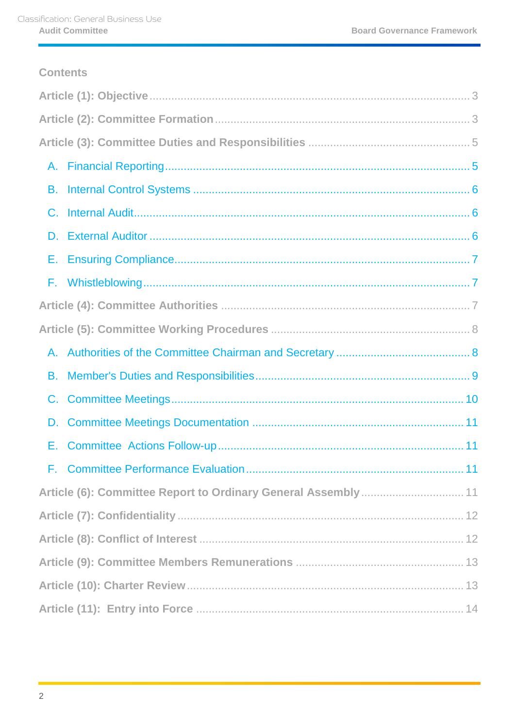# **Contents**

| А. |  |  |  |
|----|--|--|--|
| В. |  |  |  |
| C. |  |  |  |
| D. |  |  |  |
| Е. |  |  |  |
|    |  |  |  |
|    |  |  |  |
|    |  |  |  |
| А. |  |  |  |
| В. |  |  |  |
| C. |  |  |  |
| D. |  |  |  |
| Е. |  |  |  |
|    |  |  |  |
|    |  |  |  |
|    |  |  |  |
|    |  |  |  |
|    |  |  |  |
|    |  |  |  |
|    |  |  |  |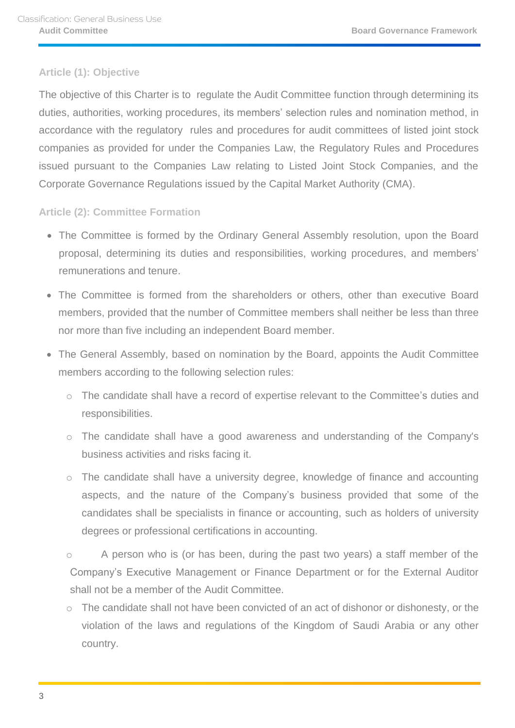# <span id="page-2-0"></span>**Article (1): Objective**

The objective of this Charter is to regulate the Audit Committee function through determining its duties, authorities, working procedures, its members' selection rules and nomination method, in accordance with the regulatory rules and procedures for audit committees of listed joint stock companies as provided for under the Companies Law, the Regulatory Rules and Procedures issued pursuant to the Companies Law relating to Listed Joint Stock Companies, and the Corporate Governance Regulations issued by the Capital Market Authority (CMA).

# <span id="page-2-1"></span>**Article (2): Committee Formation**

- The Committee is formed by the Ordinary General Assembly resolution, upon the Board proposal, determining its duties and responsibilities, working procedures, and members' remunerations and tenure.
- The Committee is formed from the shareholders or others, other than executive Board members, provided that the number of Committee members shall neither be less than three nor more than five including an independent Board member.
- The General Assembly, based on nomination by the Board, appoints the Audit Committee members according to the following selection rules:
	- $\circ$  The candidate shall have a record of expertise relevant to the Committee's duties and responsibilities.
	- o The candidate shall have a good awareness and understanding of the Company's business activities and risks facing it.
	- o The candidate shall have a university degree, knowledge of finance and accounting aspects, and the nature of the Company's business provided that some of the candidates shall be specialists in finance or accounting, such as holders of university degrees or professional certifications in accounting.
	- o A person who is (or has been, during the past two years) a staff member of the Company's Executive Management or Finance Department or for the External Auditor shall not be a member of the Audit Committee.
	- o The candidate shall not have been convicted of an act of dishonor or dishonesty, or the violation of the laws and regulations of the Kingdom of Saudi Arabia or any other country.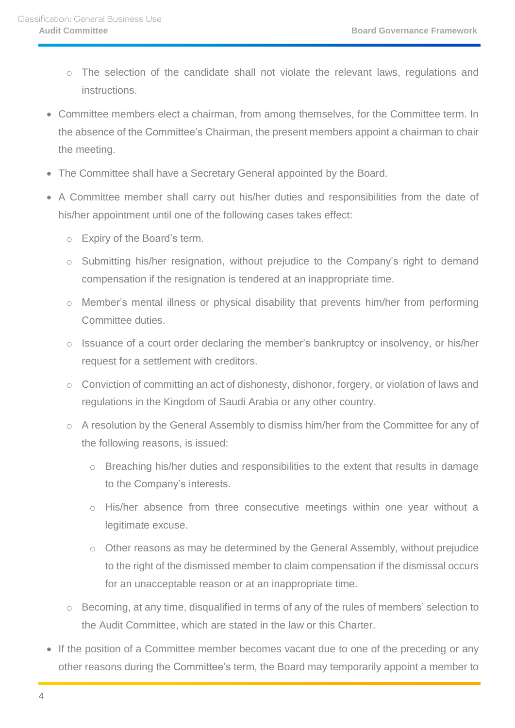- o The selection of the candidate shall not violate the relevant laws, regulations and instructions.
- Committee members elect a chairman, from among themselves, for the Committee term. In the absence of the Committee's Chairman, the present members appoint a chairman to chair the meeting.
- The Committee shall have a Secretary General appointed by the Board.
- A Committee member shall carry out his/her duties and responsibilities from the date of his/her appointment until one of the following cases takes effect:
	- o Expiry of the Board's term.
	- o Submitting his/her resignation, without prejudice to the Company's right to demand compensation if the resignation is tendered at an inappropriate time.
	- o Member's mental illness or physical disability that prevents him/her from performing Committee duties.
	- o Issuance of a court order declaring the member's bankruptcy or insolvency, or his/her request for a settlement with creditors.
	- o Conviction of committing an act of dishonesty, dishonor, forgery, or violation of laws and regulations in the Kingdom of Saudi Arabia or any other country.
	- o A resolution by the General Assembly to dismiss him/her from the Committee for any of the following reasons, is issued:
		- o Breaching his/her duties and responsibilities to the extent that results in damage to the Company's interests.
		- o His/her absence from three consecutive meetings within one year without a legitimate excuse.
		- o Other reasons as may be determined by the General Assembly, without prejudice to the right of the dismissed member to claim compensation if the dismissal occurs for an unacceptable reason or at an inappropriate time.
	- o Becoming, at any time, disqualified in terms of any of the rules of members' selection to the Audit Committee, which are stated in the law or this Charter.
- If the position of a Committee member becomes vacant due to one of the preceding or any other reasons during the Committee's term, the Board may temporarily appoint a member to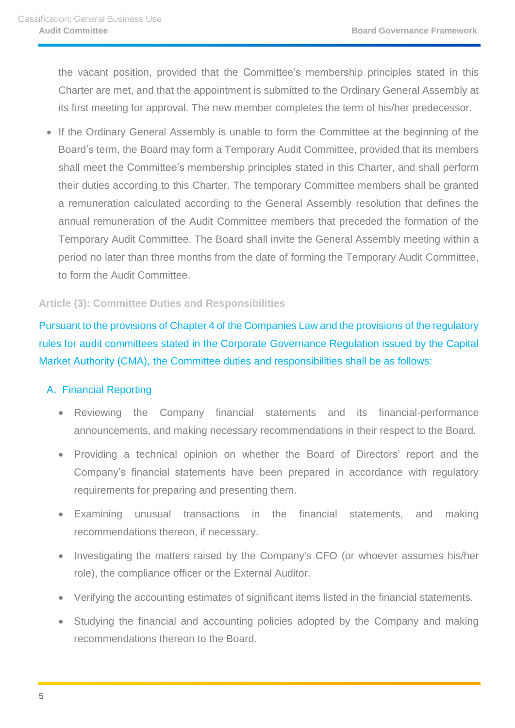the vacant position, provided that the Committee's membership principles stated in this Charter are met, and that the appointment is submitted to the Ordinary General Assembly at its first meeting for approval. The new member completes the term of his/her predecessor.

• If the Ordinary General Assembly is unable to form the Committee at the beginning of the Board's term, the Board may form a Temporary Audit Committee, provided that its members shall meet the Committee's membership principles stated in this Charter, and shall perform their duties according to this Charter. The temporary Committee members shall be granted a remuneration calculated according to the General Assembly resolution that defines the annual remuneration of the Audit Committee members that preceded the formation of the Temporary Audit Committee. The Board shall invite the General Assembly meeting within a period no later than three months from the date of forming the Temporary Audit Committee, to form the Audit Committee.

#### <span id="page-4-0"></span>**Article (3): Committee Duties and Responsibilities**

Pursuant to the provisions of Chapter 4 of the Companies Law and the provisions of the regulatory rules for audit committees stated in the Corporate Governance Regulation issued by the Capital Market Authority (CMA), the Committee duties and responsibilities shall be as follows:

#### <span id="page-4-1"></span>A. Financial Reporting

- Reviewing the Company financial statements and its financial-performance announcements, and making necessary recommendations in their respect to the Board.
- Providing a technical opinion on whether the Board of Directors' report and the Company's financial statements have been prepared in accordance with regulatory requirements for preparing and presenting them.
- Examining unusual transactions in the financial statements, and making recommendations thereon, if necessary.
- Investigating the matters raised by the Company's CFO (or whoever assumes his/her role), the compliance officer or the External Auditor.
- Verifying the accounting estimates of significant items listed in the financial statements.
- Studying the financial and accounting policies adopted by the Company and making recommendations thereon to the Board.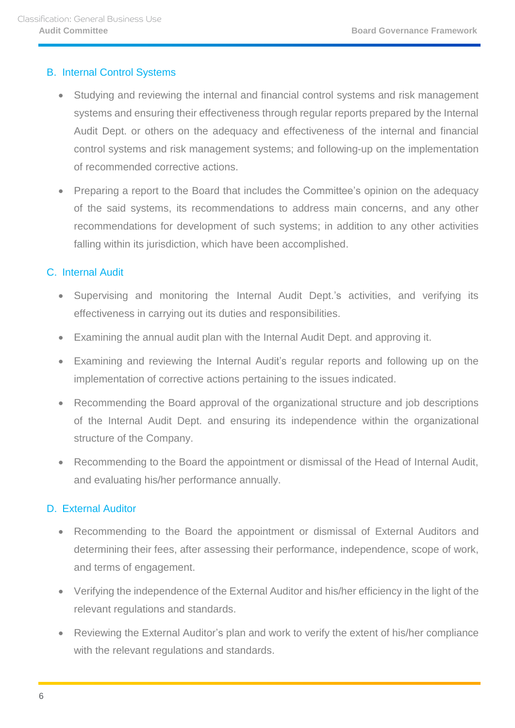#### <span id="page-5-0"></span>B. Internal Control Systems

- Studying and reviewing the internal and financial control systems and risk management systems and ensuring their effectiveness through regular reports prepared by the Internal Audit Dept. or others on the adequacy and effectiveness of the internal and financial control systems and risk management systems; and following-up on the implementation of recommended corrective actions.
- Preparing a report to the Board that includes the Committee's opinion on the adequacy of the said systems, its recommendations to address main concerns, and any other recommendations for development of such systems; in addition to any other activities falling within its jurisdiction, which have been accomplished.

# <span id="page-5-1"></span>C. Internal Audit

- Supervising and monitoring the Internal Audit Dept.'s activities, and verifying its effectiveness in carrying out its duties and responsibilities.
- Examining the annual audit plan with the Internal Audit Dept. and approving it.
- Examining and reviewing the Internal Audit's regular reports and following up on the implementation of corrective actions pertaining to the issues indicated.
- Recommending the Board approval of the organizational structure and job descriptions of the Internal Audit Dept. and ensuring its independence within the organizational structure of the Company.
- Recommending to the Board the appointment or dismissal of the Head of Internal Audit, and evaluating his/her performance annually.

#### <span id="page-5-2"></span>D. External Auditor

- Recommending to the Board the appointment or dismissal of External Auditors and determining their fees, after assessing their performance, independence, scope of work, and terms of engagement.
- Verifying the independence of the External Auditor and his/her efficiency in the light of the relevant regulations and standards.
- Reviewing the External Auditor's plan and work to verify the extent of his/her compliance with the relevant regulations and standards.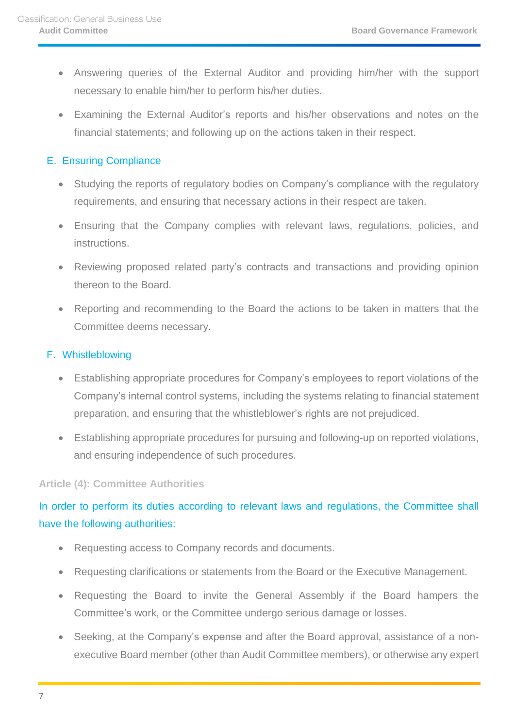- Answering queries of the External Auditor and providing him/her with the support necessary to enable him/her to perform his/her duties.
- Examining the External Auditor's reports and his/her observations and notes on the financial statements; and following up on the actions taken in their respect.

# <span id="page-6-0"></span>E. Ensuring Compliance

- Studying the reports of regulatory bodies on Company's compliance with the regulatory requirements, and ensuring that necessary actions in their respect are taken.
- Ensuring that the Company complies with relevant laws, regulations, policies, and instructions.
- Reviewing proposed related party's contracts and transactions and providing opinion thereon to the Board.
- Reporting and recommending to the Board the actions to be taken in matters that the Committee deems necessary.

#### <span id="page-6-1"></span>F. Whistleblowing

- Establishing appropriate procedures for Company's employees to report violations of the Company's internal control systems, including the systems relating to financial statement preparation, and ensuring that the whistleblower's rights are not prejudiced.
- Establishing appropriate procedures for pursuing and following-up on reported violations, and ensuring independence of such procedures.

#### <span id="page-6-2"></span>**Article (4): Committee Authorities**

# In order to perform its duties according to relevant laws and regulations, the Committee shall have the following authorities:

- Requesting access to Company records and documents.
- Requesting clarifications or statements from the Board or the Executive Management.
- Requesting the Board to invite the General Assembly if the Board hampers the Committee's work, or the Committee undergo serious damage or losses.
- Seeking, at the Company's expense and after the Board approval, assistance of a nonexecutive Board member (other than Audit Committee members), or otherwise any expert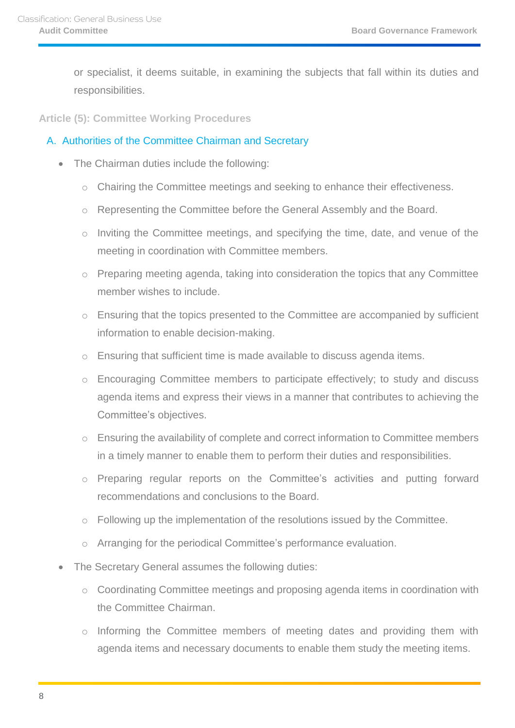or specialist, it deems suitable, in examining the subjects that fall within its duties and responsibilities.

<span id="page-7-0"></span>**Article (5): Committee Working Procedures** 

#### <span id="page-7-1"></span>A. Authorities of the Committee Chairman and Secretary

- The Chairman duties include the following:
	- o Chairing the Committee meetings and seeking to enhance their effectiveness.
	- o Representing the Committee before the General Assembly and the Board.
	- o Inviting the Committee meetings, and specifying the time, date, and venue of the meeting in coordination with Committee members.
	- o Preparing meeting agenda, taking into consideration the topics that any Committee member wishes to include.
	- o Ensuring that the topics presented to the Committee are accompanied by sufficient information to enable decision-making.
	- $\circ$  Ensuring that sufficient time is made available to discuss agenda items.
	- o Encouraging Committee members to participate effectively; to study and discuss agenda items and express their views in a manner that contributes to achieving the Committee's objectives.
	- o Ensuring the availability of complete and correct information to Committee members in a timely manner to enable them to perform their duties and responsibilities.
	- o Preparing regular reports on the Committee's activities and putting forward recommendations and conclusions to the Board.
	- o Following up the implementation of the resolutions issued by the Committee.
	- o Arranging for the periodical Committee's performance evaluation.
- The Secretary General assumes the following duties:
	- o Coordinating Committee meetings and proposing agenda items in coordination with the Committee Chairman.
	- o Informing the Committee members of meeting dates and providing them with agenda items and necessary documents to enable them study the meeting items.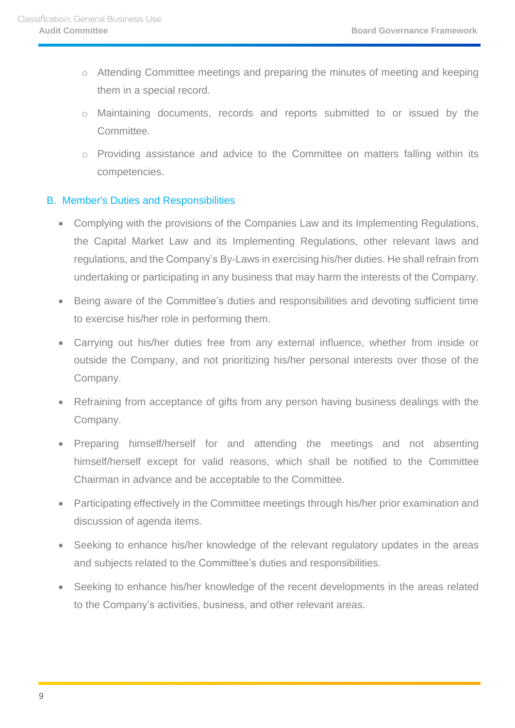- o Attending Committee meetings and preparing the minutes of meeting and keeping them in a special record.
- o Maintaining documents, records and reports submitted to or issued by the Committee.
- o Providing assistance and advice to the Committee on matters falling within its competencies.

#### <span id="page-8-0"></span>B. Member's Duties and Responsibilities

- Complying with the provisions of the Companies Law and its Implementing Regulations, the Capital Market Law and its Implementing Regulations, other relevant laws and regulations, and the Company's By-Laws in exercising his/her duties. He shall refrain from undertaking or participating in any business that may harm the interests of the Company.
- Being aware of the Committee's duties and responsibilities and devoting sufficient time to exercise his/her role in performing them.
- Carrying out his/her duties free from any external influence, whether from inside or outside the Company, and not prioritizing his/her personal interests over those of the Company.
- Refraining from acceptance of gifts from any person having business dealings with the Company.
- Preparing himself/herself for and attending the meetings and not absenting himself/herself except for valid reasons, which shall be notified to the Committee Chairman in advance and be acceptable to the Committee.
- Participating effectively in the Committee meetings through his/her prior examination and discussion of agenda items.
- Seeking to enhance his/her knowledge of the relevant regulatory updates in the areas and subjects related to the Committee's duties and responsibilities.
- Seeking to enhance his/her knowledge of the recent developments in the areas related to the Company's activities, business, and other relevant areas.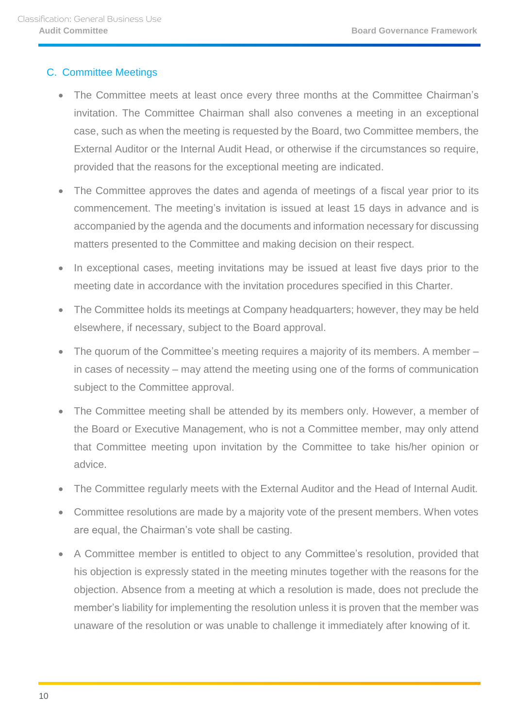# <span id="page-9-0"></span>C. Committee Meetings

- The Committee meets at least once every three months at the Committee Chairman's invitation. The Committee Chairman shall also convenes a meeting in an exceptional case, such as when the meeting is requested by the Board, two Committee members, the External Auditor or the Internal Audit Head, or otherwise if the circumstances so require, provided that the reasons for the exceptional meeting are indicated.
- The Committee approves the dates and agenda of meetings of a fiscal year prior to its commencement. The meeting's invitation is issued at least 15 days in advance and is accompanied by the agenda and the documents and information necessary for discussing matters presented to the Committee and making decision on their respect.
- In exceptional cases, meeting invitations may be issued at least five days prior to the meeting date in accordance with the invitation procedures specified in this Charter.
- The Committee holds its meetings at Company headquarters; however, they may be held elsewhere, if necessary, subject to the Board approval.
- The quorum of the Committee's meeting requires a majority of its members. A member in cases of necessity – may attend the meeting using one of the forms of communication subject to the Committee approval.
- The Committee meeting shall be attended by its members only. However, a member of the Board or Executive Management, who is not a Committee member, may only attend that Committee meeting upon invitation by the Committee to take his/her opinion or advice.
- The Committee regularly meets with the External Auditor and the Head of Internal Audit.
- Committee resolutions are made by a majority vote of the present members. When votes are equal, the Chairman's vote shall be casting.
- A Committee member is entitled to object to any Committee's resolution, provided that his objection is expressly stated in the meeting minutes together with the reasons for the objection. Absence from a meeting at which a resolution is made, does not preclude the member's liability for implementing the resolution unless it is proven that the member was unaware of the resolution or was unable to challenge it immediately after knowing of it.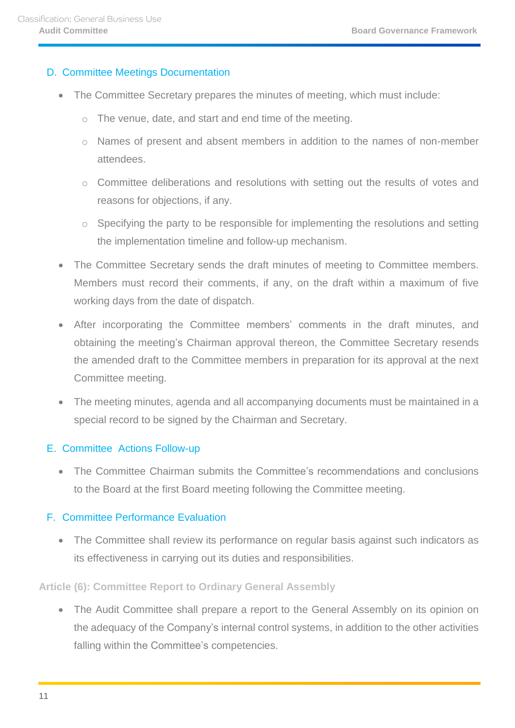#### <span id="page-10-0"></span>D. Committee Meetings Documentation

- The Committee Secretary prepares the minutes of meeting, which must include:
	- o The venue, date, and start and end time of the meeting.
	- o Names of present and absent members in addition to the names of non-member attendees.
	- o Committee deliberations and resolutions with setting out the results of votes and reasons for objections, if any.
	- $\circ$  Specifying the party to be responsible for implementing the resolutions and setting the implementation timeline and follow-up mechanism.
- The Committee Secretary sends the draft minutes of meeting to Committee members. Members must record their comments, if any, on the draft within a maximum of five working days from the date of dispatch.
- After incorporating the Committee members' comments in the draft minutes, and obtaining the meeting's Chairman approval thereon, the Committee Secretary resends the amended draft to the Committee members in preparation for its approval at the next Committee meeting.
- The meeting minutes, agenda and all accompanying documents must be maintained in a special record to be signed by the Chairman and Secretary.

# <span id="page-10-1"></span>E. Committee Actions Follow-up

 The Committee Chairman submits the Committee's recommendations and conclusions to the Board at the first Board meeting following the Committee meeting.

# <span id="page-10-2"></span>F. Committee Performance Evaluation

• The Committee shall review its performance on regular basis against such indicators as its effectiveness in carrying out its duties and responsibilities.

# <span id="page-10-3"></span>**Article (6): Committee Report to Ordinary General Assembly**

• The Audit Committee shall prepare a report to the General Assembly on its opinion on the adequacy of the Company's internal control systems, in addition to the other activities falling within the Committee's competencies.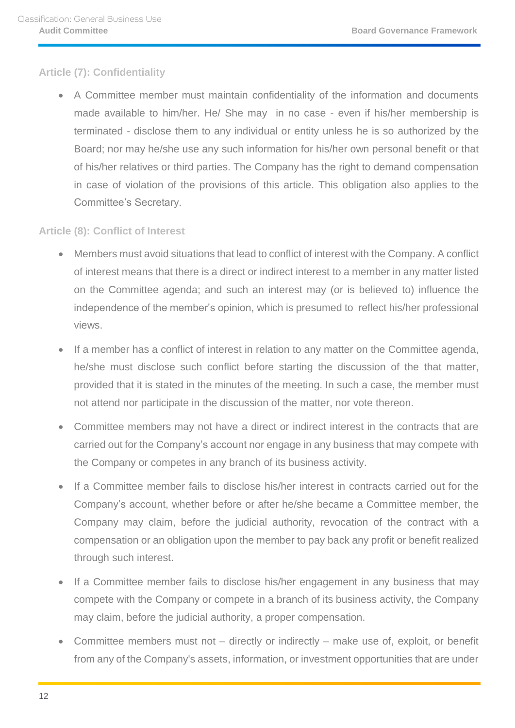# <span id="page-11-0"></span>**Article (7): Confidentiality**

 A Committee member must maintain confidentiality of the information and documents made available to him/her. He/ She may in no case - even if his/her membership is terminated - disclose them to any individual or entity unless he is so authorized by the Board; nor may he/she use any such information for his/her own personal benefit or that of his/her relatives or third parties. The Company has the right to demand compensation in case of violation of the provisions of this article. This obligation also applies to the Committee's Secretary.

# <span id="page-11-1"></span>**Article (8): Conflict of Interest**

- Members must avoid situations that lead to conflict of interest with the Company. A conflict of interest means that there is a direct or indirect interest to a member in any matter listed on the Committee agenda; and such an interest may (or is believed to) influence the independence of the member's opinion, which is presumed to reflect his/her professional views.
- If a member has a conflict of interest in relation to any matter on the Committee agenda, he/she must disclose such conflict before starting the discussion of the that matter, provided that it is stated in the minutes of the meeting. In such a case, the member must not attend nor participate in the discussion of the matter, nor vote thereon.
- Committee members may not have a direct or indirect interest in the contracts that are carried out for the Company's account nor engage in any business that may compete with the Company or competes in any branch of its business activity.
- If a Committee member fails to disclose his/her interest in contracts carried out for the Company's account, whether before or after he/she became a Committee member, the Company may claim, before the judicial authority, revocation of the contract with a compensation or an obligation upon the member to pay back any profit or benefit realized through such interest.
- If a Committee member fails to disclose his/her engagement in any business that may compete with the Company or compete in a branch of its business activity, the Company may claim, before the judicial authority, a proper compensation.
- Committee members must not directly or indirectly make use of, exploit, or benefit from any of the Company's assets, information, or investment opportunities that are under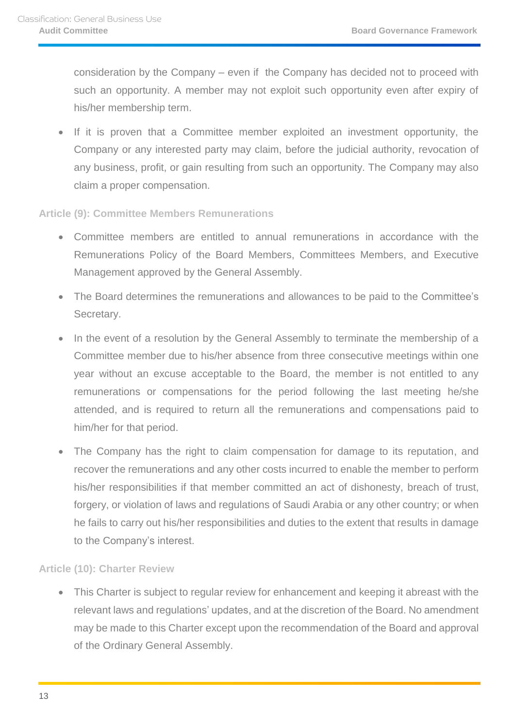consideration by the Company – even if the Company has decided not to proceed with such an opportunity. A member may not exploit such opportunity even after expiry of his/her membership term.

 If it is proven that a Committee member exploited an investment opportunity, the Company or any interested party may claim, before the judicial authority, revocation of any business, profit, or gain resulting from such an opportunity. The Company may also claim a proper compensation.

#### <span id="page-12-0"></span>**Article (9): Committee Members Remunerations**

- Committee members are entitled to annual remunerations in accordance with the Remunerations Policy of the Board Members, Committees Members, and Executive Management approved by the General Assembly.
- The Board determines the remunerations and allowances to be paid to the Committee's Secretary.
- In the event of a resolution by the General Assembly to terminate the membership of a Committee member due to his/her absence from three consecutive meetings within one year without an excuse acceptable to the Board, the member is not entitled to any remunerations or compensations for the period following the last meeting he/she attended, and is required to return all the remunerations and compensations paid to him/her for that period.
- The Company has the right to claim compensation for damage to its reputation, and recover the remunerations and any other costs incurred to enable the member to perform his/her responsibilities if that member committed an act of dishonesty, breach of trust, forgery, or violation of laws and regulations of Saudi Arabia or any other country; or when he fails to carry out his/her responsibilities and duties to the extent that results in damage to the Company's interest.

# <span id="page-12-1"></span>**Article (10): Charter Review**

 This Charter is subject to regular review for enhancement and keeping it abreast with the relevant laws and regulations' updates, and at the discretion of the Board. No amendment may be made to this Charter except upon the recommendation of the Board and approval of the Ordinary General Assembly.